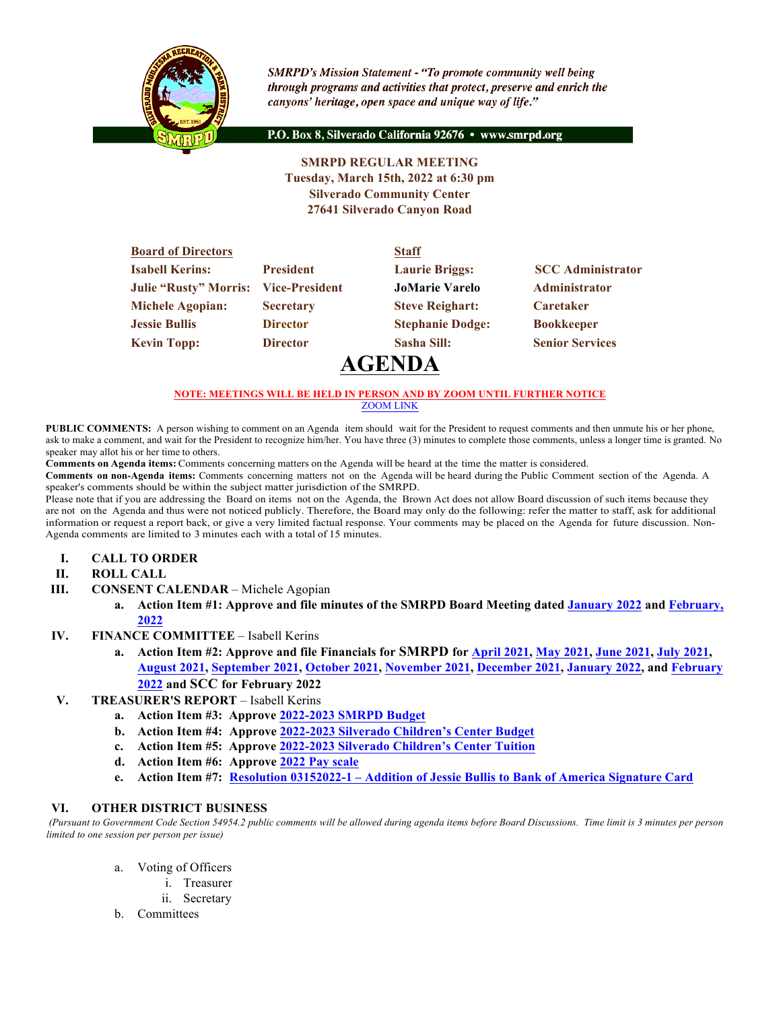

**SMRPD's Mission Statement - "To promote community well being** through programs and activities that protect, preserve and enrich the canyons' heritage, open space and unique way of life."

P.O. Box 8, Silverado California 92676 · www.smrpd.org

## **SMRPD REGULAR MEETING Tuesday, March 15th, 2022 at 6:30 pm Silverado Community Center 27641 Silverado Canyon Road**

| <b>Board of Directors</b>    |                       | <b>Staff</b>            |                          |
|------------------------------|-----------------------|-------------------------|--------------------------|
| <b>Isabell Kerins:</b>       | <b>President</b>      | <b>Laurie Briggs:</b>   | <b>SCC</b> Administrator |
| <b>Julie "Rusty" Morris:</b> | <b>Vice-President</b> | <b>JoMarie Varelo</b>   | Administrator            |
| Michele Agopian:             | <b>Secretary</b>      | <b>Steve Reighart:</b>  | <b>Caretaker</b>         |
| <b>Jessie Bullis</b>         | <b>Director</b>       | <b>Stephanie Dodge:</b> | <b>Bookkeeper</b>        |
| <b>Kevin Topp:</b>           | <b>Director</b>       | Sasha Sill:             | <b>Senior Services</b>   |
|                              |                       |                         |                          |

# **AGENDA**

#### **NOTE: MEETINGS WILL BE HELD IN PERSON AND BY ZOOM UNTIL FURTHER NOTICE** ZOOM LINK

**PUBLIC COMMENTS:** A person wishing to comment on an Agenda item should wait for the President to request comments and then unmute his or her phone, ask to make a comment, and wait for the President to recognize him/her. You have three (3) minutes to complete those comments, unless a longer time is granted. No speaker may allot his or her time to others.

**Comments on Agenda items:** Comments concerning matters on the Agenda will be heard at the time the matter is considered.

**Comments on non-Agenda items:** Comments concerning matters not on the Agenda will be heard during the Public Comment section of the Agenda. A speaker's comments should be within the subject matter jurisdiction of the SMRPD.

Please note that if you are addressing the Board on items not on the Agenda, the Brown Act does not allow Board discussion of such items because they are not on the Agenda and thus were not noticed publicly. Therefore, the Board may only do the following: refer the matter to staff, ask for additional information or request a report back, or give a very limited factual response. Your comments may be placed on the Agenda for future discussion. Non-Agenda comments are limited to 3 minutes each with a total of 15 minutes.

- **I. CALL TO ORDER**
- **II. ROLL CALL**
- **III. CONSENT CALENDAR** Michele Agopian
	- **a. Action Item #1: Approve and file minutes of the SMRPD Board Meeting dated January 2022 and February, 2022**
- **IV. FINANCE COMMITTEE** Isabell Kerins
	- **a. Action Item #2: Approve and file Financials for SMRPD for April 2021, May 2021, June 2021, July 2021, August 2021, September 2021, October 2021, November 2021, December 2021, January 2022, and February 2022 and SCC for February 2022**
- **V. TREASURER'S REPORT** Isabell Kerins
	- **a. Action Item #3: Approve 2022-2023 SMRPD Budget**
	- **b. Action Item #4: Approve 2022-2023 Silverado Children's Center Budget**
	- **c. Action Item #5: Approve 2022-2023 Silverado Children's Center Tuition**
	- **d. Action Item #6: Approve 2022 Pay scale**
	- **e. Action Item #7: Resolution 03152022-1 – Addition of Jessie Bullis to Bank of America Signature Card**

#### **VI. OTHER DISTRICT BUSINESS**

*(Pursuant to Government Code Section 54954.2 public comments will be allowed during agenda items before Board Discussions. Time limit is 3 minutes per person limited to one session per person per issue)*

- a. Voting of Officers
	- i. Treasurer
	- ii. Secretary
- b. Committees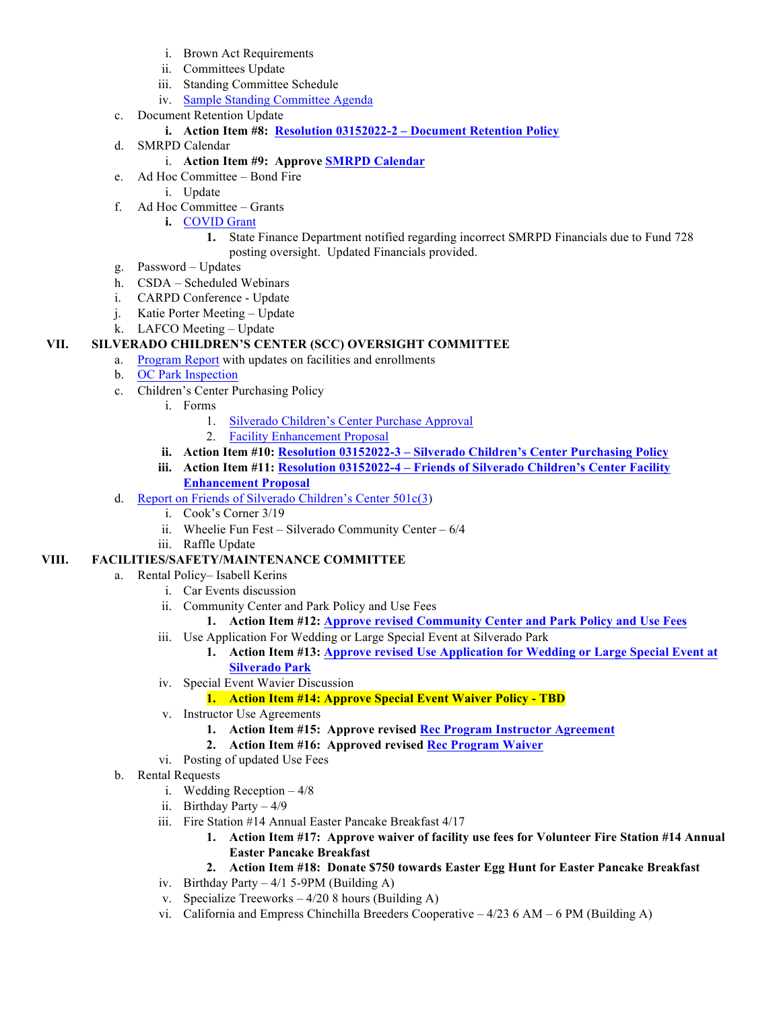- i. Brown Act Requirements
- ii. Committees Update
- iii. Standing Committee Schedule
- iv. Sample Standing Committee Agenda
- c. Document Retention Update
	- **i. Action Item #8: Resolution 03152022-2 – Document Retention Policy**
- d. SMRPD Calendar

## i. **Action Item #9: Approve SMRPD Calendar**

- e. Ad Hoc Committee Bond Fire
	- i. Update
- f. Ad Hoc Committee Grants
	- **i.** COVID Grant
		- **1.** State Finance Department notified regarding incorrect SMRPD Financials due to Fund 728 posting oversight. Updated Financials provided.
- g. Password Updates
- h. CSDA Scheduled Webinars
- i. CARPD Conference Update
- j. Katie Porter Meeting Update
- k. LAFCO Meeting Update

## **VII. SILVERADO CHILDREN'S CENTER (SCC) OVERSIGHT COMMITTEE**

- a. Program Report with updates on facilities and enrollments
- b. OC Park Inspection
- c. Children's Center Purchasing Policy
	- i. Forms
		- 1. Silverado Children's Center Purchase Approval
		- 2. Facility Enhancement Proposal
	- **ii. Action Item #10: Resolution 03152022-3 – Silverado Children's Center Purchasing Policy**
	- **iii. Action Item #11: Resolution 03152022-4 – Friends of Silverado Children's Center Facility Enhancement Proposal**
- d. Report on Friends of Silverado Children's Center 501c(3)
	- i. Cook's Corner 3/19
	- ii. Wheelie Fun Fest Silverado Community Center 6/4
	- iii. Raffle Update

## **VIII. FACILITIES/SAFETY/MAINTENANCE COMMITTEE**

- a. Rental Policy– Isabell Kerins
	- i. Car Events discussion
	- ii. Community Center and Park Policy and Use Fees
		- **1. Action Item #12: Approve revised Community Center and Park Policy and Use Fees**
	- iii. Use Application For Wedding or Large Special Event at Silverado Park
		- **1. Action Item #13: Approve revised Use Application for Wedding or Large Special Event at Silverado Park**
	- iv. Special Event Wavier Discussion

## **1. Action Item #14: Approve Special Event Waiver Policy - TBD**

- v. Instructor Use Agreements
	- **1. Action Item #15: Approve revised Rec Program Instructor Agreement**
	- **2. Action Item #16: Approved revised Rec Program Waiver**
- vi. Posting of updated Use Fees
- b. Rental Requests
	- i. Wedding Reception 4/8
	- ii. Birthday Party 4/9
	- iii. Fire Station #14 Annual Easter Pancake Breakfast 4/17
		- **1. Action Item #17: Approve waiver of facility use fees for Volunteer Fire Station #14 Annual Easter Pancake Breakfast**
		- **2. Action Item #18: Donate \$750 towards Easter Egg Hunt for Easter Pancake Breakfast**
	- iv. Birthday Party  $-4/1$  5-9PM (Building A)
	- v. Specialize Treeworks 4/20 8 hours (Building A)
	- vi. California and Empress Chinchilla Breeders Cooperative 4/23 6 AM 6 PM (Building A)